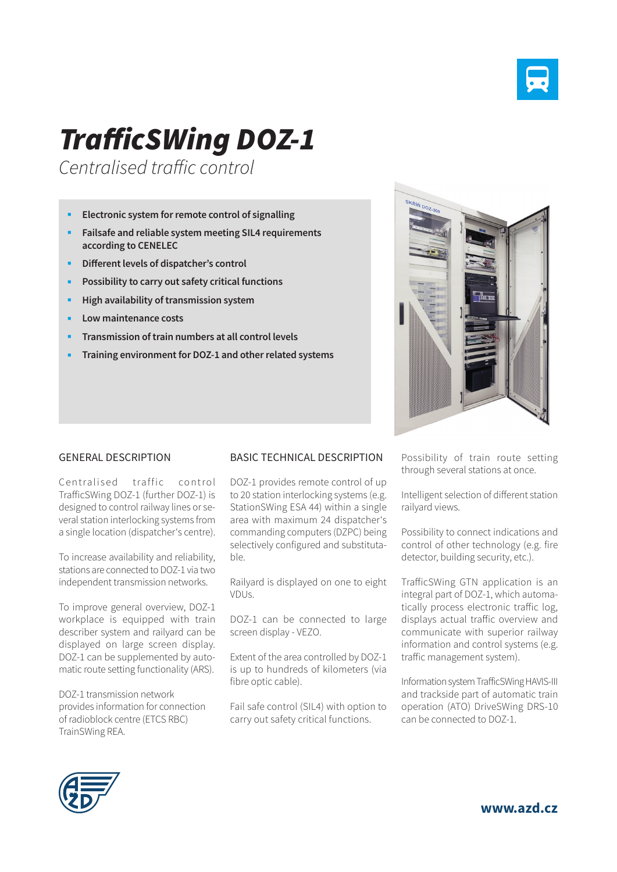

## *TrafficSWing DOZ-1*

*Centralised traffic control*

- **Electronic system for remote control of signalling**
- **Failsafe and reliable system meeting SIL4 requirements according to CENELEC**
- **Different levels of dispatcher's control**
- **Possibility to carry out safety critical functions**
- **High availability of transmission system**
- **Low maintenance costs**
- **Transmission of train numbers at all control levels**
- **Training environment for DOZ-1 and other related systems**



Centralised traffic control TrafficSWing DOZ-1 (further DOZ-1) is designed to control railway lines or several station interlocking systems from a single location (dispatcher's centre).

To increase availability and reliability, stations are connected to DOZ-1 via two independent transmission networks.

To improve general overview, DOZ-1 workplace is equipped with train describer system and railyard can be displayed on large screen display. DOZ-1 can be supplemented by automatic route setting functionality (ARS).

DOZ-1 transmission network provides information for connection of radioblock centre (ETCS RBC) TrainSWing REA.

## BASIC TECHNICAL DESCRIPTION

DOZ-1 provides remote control of up to 20 station interlocking systems (e.g. StationSWing ESA 44) within a single area with maximum 24 dispatcher's commanding computers (DZPC) being selectively configured and substitutable.

Railyard is displayed on one to eight VDUs.

DOZ-1 can be connected to large screen display - VEZO.

Extent of the area controlled by DOZ-1 is up to hundreds of kilometers (via fibre optic cable).

Fail safe control (SIL4) with option to carry out safety critical functions.

Possibility of train route setting through several stations at once.

Intelligent selection of different station railyard views.

Possibility to connect indications and control of other technology (e.g. fire detector, building security, etc.).

TrafficSWing GTN application is an integral part of DOZ-1, which automatically process electronic traffic log, displays actual traffic overview and communicate with superior railway information and control systems (e.g. traffic management system).

Information system TrafficSWing HAVIS-III and trackside part of automatic train operation (ATO) DriveSWing DRS-10 can be connected to DOZ-1.



**www.azd.cz**